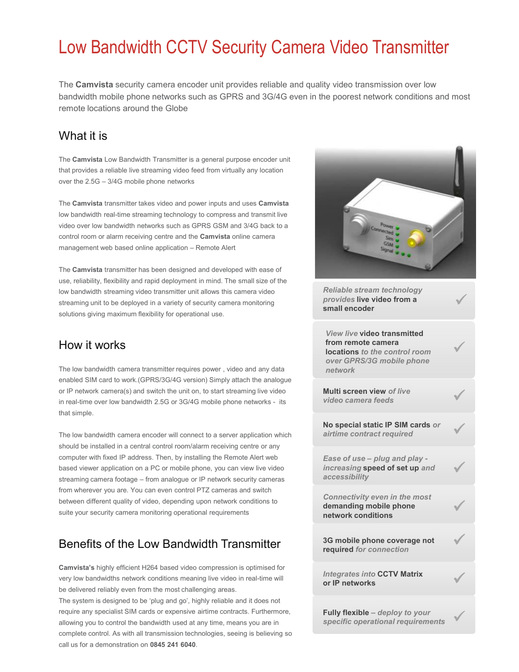## Low Bandwidth CCTV Security Camera Video Transmitter

The **Camvista** security camera encoder unit provides reliable and quality video transmission over low bandwidth mobile phone networks such as GPRS and 3G/4G even in the poorest network conditions and most remote locations around the Globe

#### What it is

The **Camvista** Low Bandwidth Transmitter is a general purpose encoder unit that provides a reliable live streaming video feed from virtually any location over the 2.5G – 3/4G mobile phone networks

The **Camvista** transmitter takes video and power inputs and uses **Camvista** low bandwidth real-time streaming technology to compress and transmit live video over low bandwidth networks such as GPRS GSM and 3/4G back to a control room or alarm receiving centre and the **Camvista** online camera management web based online application – Remote Alert

The **Camvista** transmitter has been designed and developed with ease of use, reliability, flexibility and rapid deployment in mind. The small size of the low bandwidth streaming video transmitter unit allows this camera video streaming unit to be deployed in a variety of security camera monitoring solutions giving maximum flexibility for operational use.

#### How it works

The low bandwidth camera transmitter requires power , video and any data enabled SIM card to work.(GPRS/3G/4G version) Simply attach the analogue or IP network camera(s) and switch the unit on, to start streaming live video in real-time over low bandwidth 2.5G or 3G/4G mobile phone networks - its that simple.

The low bandwidth camera encoder will connect to a server application which should be installed in a central control room/alarm receiving centre or any computer with fixed IP address. Then, by installing the Remote Alert web based viewer application on a PC or mobile phone, you can view live video streaming camera footage – from analogue or IP network security cameras from wherever you are. You can even control PTZ cameras and switch between different quality of video, depending upon network conditions to suite your security camera monitoring operational requirements

### Benefits of the Low Bandwidth Transmitter

**Camvista's** highly efficient H264 based video compression is optimised for very low bandwidths network conditions meaning live video in real-time will be delivered reliably even from the most challenging areas. The system is designed to be 'plug and go', highly reliable and it does not require any specialist SIM cards or expensive airtime contracts. Furthermore, allowing you to control the bandwidth used at any time, means you are in complete control. As with all transmission technologies, seeing is believing so call us for a demonstration on **0845 241 6040**.



ü

ü

ü

ü

ü

ü

ü

*Reliable stream technology provides* **live video from a small encoder**

*View live* **video transmitted from remote camera locations** *to the control room over GPRS/3G mobile phone network*

**Multi screen view** *of live video camera feeds*

**No special static IP SIM cards** *or airtime contract required*

*Ease of use – plug and play increasing* **speed of set up** *and accessibility*

*Connectivity even in the most*  **demanding mobile phone network conditions**

**3G mobile phone coverage not required** *for connection*

*Integrates into* **CCTV Matrix or IP networks** ü

**Fully flexible** *– deploy to your specific operational requirements* ü